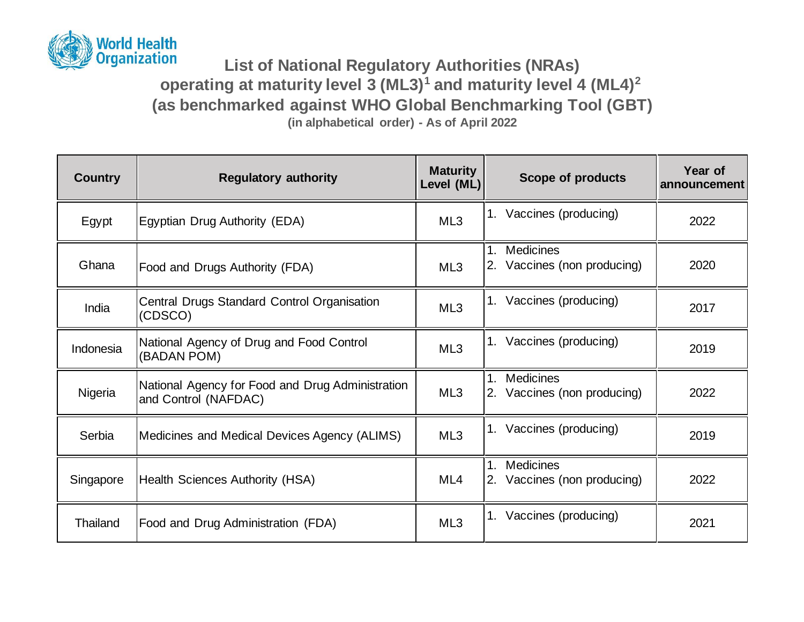

## **List of National Regulatory Authorities (NRAs) operating at maturity level 3 (ML3)<sup>1</sup> and maturity level 4 (ML4)<sup>2</sup> (as benchmarked against WHO Global Benchmarking Tool (GBT) (in alphabetical order) - As of April 2022**

**Country Regulatory authority Maturity Maturity Regulatory authority COUNTEN Level (ML) Scope of products Year of announcement** Egypt Egyptian Drug Authority (EDA) ML3 1. Vaccines (producing) 2022 Ghana | Food and Drugs Authority (FDA) | ML3 1. Medicines 2. Vaccines (non producing) | 2020 India 
Central Drugs Standard Control Organisation 
ML3 | <sup>1. Vaccines (producing)</sup> 2017 Indonesia National Agency of Drug and Food Control ML3 1. Vaccines (producing) 2019<br>
ML3 1. Vaccines (producing) Nigeria **National Agency for Food and Drug Administration** National Agency for Pood and Drug Administration ML3 1. Medicines 2. Vaccines (non producing) | 2022 Serbia Medicines and Medical Devices Agency (ALIMS) ML3 1. Vaccines (producing) 2019 Singapore Health Sciences Authority (HSA) ML4 1. Medicines 2. Vaccines (non producing) | 2022 Thailand Food and Drug Administration (FDA) ML3 1. Vaccines (producing) 2021